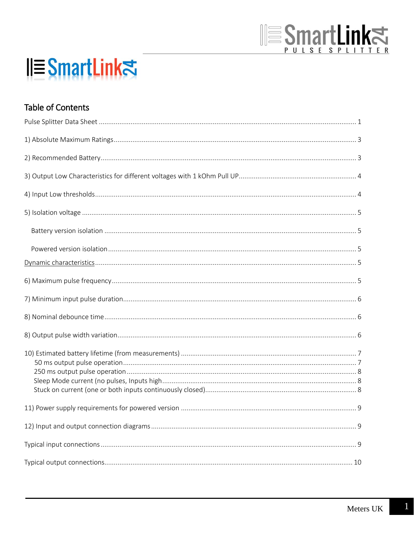# **SmartLinks**

## **IIESmartLink**치

## **Table of Contents**

 $\mathbf{1}$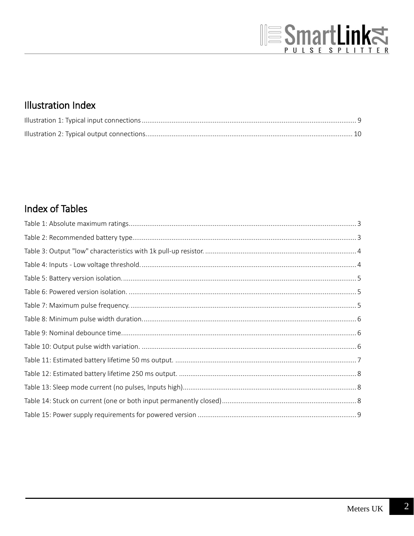## **SmartLinks**

## **Illustration Index**

## **Index of Tables**

 $\overline{2}$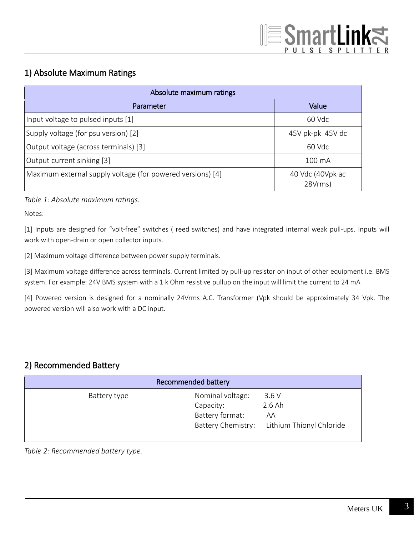## 1) Absolute Maximum Ratings

| Absolute maximum ratings                                   |                             |
|------------------------------------------------------------|-----------------------------|
| Parameter                                                  | Value                       |
| Input voltage to pulsed inputs [1]                         | 60 Vdc                      |
| Supply voltage (for psu version) [2]                       | $45V$ pk-pk $45V$ dc        |
| Output voltage (across terminals) [3]                      | 60 Vdc                      |
| Output current sinking [3]                                 | $100 \text{ mA}$            |
| Maximum external supply voltage (for powered versions) [4] | 40 Vdc (40Vpk ac<br>28Vrms) |

*Table 1: Absolute maximum ratings.*

Notes:

[1] Inputs are designed for "volt-free" switches ( reed switches) and have integrated internal weak pull-ups. Inputs will work with open-drain or open collector inputs.

[2] Maximum voltage difference between power supply terminals.

[3] Maximum voltage difference across terminals. Current limited by pull-up resistor on input of other equipment i.e. BMS system. For example: 24V BMS system with a 1 k Ohm resistive pullup on the input will limit the current to 24 mA

[4] Powered version is designed for a nominally 24Vrms A.C. Transformer (Vpk should be approximately 34 Vpk. The powered version will also work with a DC input.

### 2) Recommended Battery

| Recommended battery |                                                  |                                                                       |
|---------------------|--------------------------------------------------|-----------------------------------------------------------------------|
| Battery type        | Nominal voltage:<br>Capacity:<br>Battery format: | 3.6V<br>$2.6$ Ah<br>AA<br>Battery Chemistry: Lithium Thionyl Chloride |

*Table 2: Recommended battery type.*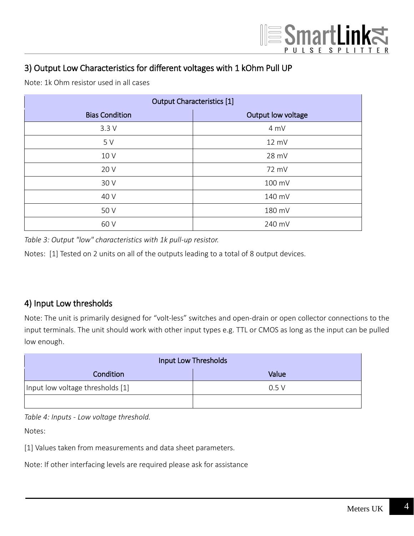## 3) Output Low Characteristics for different voltages with 1 kOhm Pull UP

Note: 1k Ohm resistor used in all cases

| <b>Output Characteristics [1]</b> |                    |
|-----------------------------------|--------------------|
| <b>Bias Condition</b>             | Output low voltage |
| 3.3V                              | 4 mV               |
| 5 V                               | 12 mV              |
| 10 V                              | 28 mV              |
| 20 V                              | 72 mV              |
| 30 V                              | 100 mV             |
| 40 V                              | 140 mV             |
| 50 V                              | 180 mV             |
| 60 V                              | 240 mV             |

*Table 3: Output "low" characteristics with 1k pull-up resistor.*

Notes: [1] Tested on 2 units on all of the outputs leading to a total of 8 output devices.

## 4) Input Low thresholds

Note: The unit is primarily designed for "volt-less" switches and open-drain or open collector connections to the input terminals. The unit should work with other input types e.g. TTL or CMOS as long as the input can be pulled low enough.

| Input Low Thresholds             |       |
|----------------------------------|-------|
| Condition                        | Value |
| Input low voltage thresholds [1] | 0.5V  |
|                                  |       |

*Table 4: Inputs - Low voltage threshold.*

Notes:

[1] Values taken from measurements and data sheet parameters.

Note: If other interfacing levels are required please ask for assistance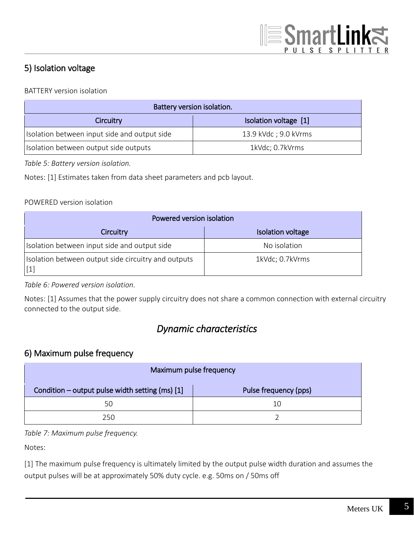## 5) Isolation voltage

#### BATTERY version isolation

| Battery version isolation.                   |                       |
|----------------------------------------------|-----------------------|
| Isolation voltage [1]<br>Circuitry           |                       |
| Isolation between input side and output side | 13.9 kVdc ; 9.0 kVrms |
| Isolation between output side outputs        | 1kVdc; 0.7kVrms       |

*Table 5: Battery version isolation.*

Notes: [1] Estimates taken from data sheet parameters and pcb layout.

#### POWERED version isolation

| Powered version isolation                                                |                   |
|--------------------------------------------------------------------------|-------------------|
| Circuitry                                                                | Isolation voltage |
| Isolation between input side and output side                             | No isolation      |
| Isolation between output side circuitry and outputs<br>$\lceil 1 \rceil$ | 1kVdc; 0.7kVrms   |

#### *Table 6: Powered version isolation.*

Notes: [1] Assumes that the power supply circuitry does not share a common connection with external circuitry connected to the output side.

## *Dynamic characteristics*

#### 6) Maximum pulse frequency

| Maximum pulse frequency                         |                       |
|-------------------------------------------------|-----------------------|
| Condition – output pulse width setting (ms) [1] | Pulse frequency (pps) |
| 50                                              | 10                    |
| 250                                             |                       |

#### *Table 7: Maximum pulse frequency.*

Notes:

[1] The maximum pulse frequency is ultimately limited by the output pulse width duration and assumes the output pulses will be at approximately 50% duty cycle. e.g. 50ms on / 50ms off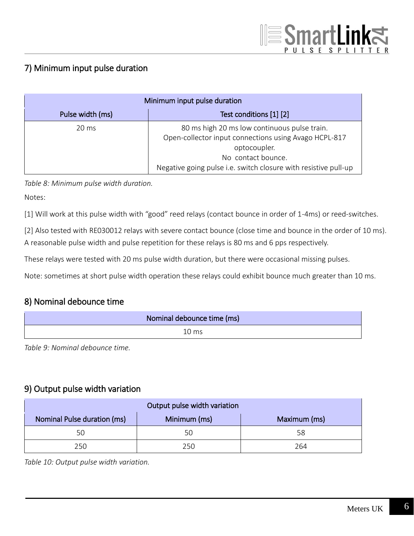## 7) Minimum input pulse duration

| Minimum input pulse duration |                                                                                                                                                                                                                |
|------------------------------|----------------------------------------------------------------------------------------------------------------------------------------------------------------------------------------------------------------|
| Pulse width (ms)             | Test conditions [1] [2]                                                                                                                                                                                        |
| $20 \text{ ms}$              | 80 ms high 20 ms low continuous pulse train.<br>Open-collector input connections using Avago HCPL-817<br>optocoupler.<br>No contact bounce.<br>Negative going pulse i.e. switch closure with resistive pull-up |

*Table 8: Minimum pulse width duration.*

Notes:

[1] Will work at this pulse width with "good" reed relays (contact bounce in order of 1-4ms) or reed-switches.

[2] Also tested with RE030012 relays with severe contact bounce (close time and bounce in the order of 10 ms). A reasonable pulse width and pulse repetition for these relays is 80 ms and 6 pps respectively.

These relays were tested with 20 ms pulse width duration, but there were occasional missing pulses.

Note: sometimes at short pulse width operation these relays could exhibit bounce much greater than 10 ms.

## 8) Nominal debounce time

| Nominal debounce time (ms) |
|----------------------------|
| $10 \text{ ms}$            |

*Table 9: Nominal debounce time.*

#### 9) Output pulse width variation

| Output pulse width variation |              |              |  |
|------------------------------|--------------|--------------|--|
| Nominal Pulse duration (ms)  | Minimum (ms) | Maximum (ms) |  |
| 50                           | 50           | 58           |  |
| 250                          | 250          | 264          |  |

*Table 10: Output pulse width variation.*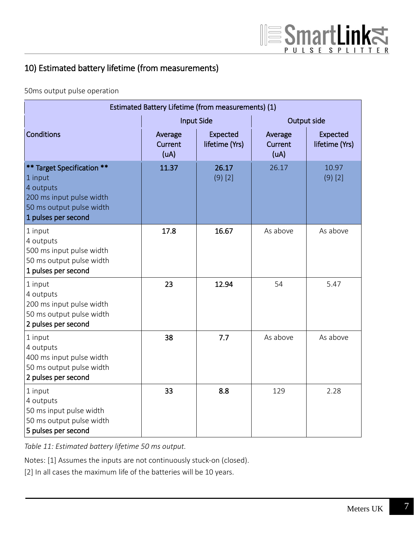## 10) Estimated battery lifetime (from measurements)

50ms output pulse operation

| Estimated Battery Lifetime (from measurements) (1)                                                                                |                            |                            |                            |                            |
|-----------------------------------------------------------------------------------------------------------------------------------|----------------------------|----------------------------|----------------------------|----------------------------|
|                                                                                                                                   | <b>Input Side</b>          |                            | Output side                |                            |
| <b>Conditions</b>                                                                                                                 | Average<br>Current<br>(UA) | Expected<br>lifetime (Yrs) | Average<br>Current<br>(UA) | Expected<br>lifetime (Yrs) |
| ** Target Specification **<br>1 input<br>4 outputs<br>200 ms input pulse width<br>50 ms output pulse width<br>1 pulses per second | 11.37                      | 26.17<br>$(9)$ [2]         | 26.17                      | 10.97<br>$(9)$ [2]         |
| 1 input<br>4 outputs<br>500 ms input pulse width<br>50 ms output pulse width<br>1 pulses per second                               | 17.8                       | 16.67                      | As above                   | As above                   |
| 1 input<br>4 outputs<br>200 ms input pulse width<br>50 ms output pulse width<br>2 pulses per second                               | 23                         | 12.94                      | 54                         | 5.47                       |
| 1 input<br>4 outputs<br>400 ms input pulse width<br>50 ms output pulse width<br>2 pulses per second                               | 38                         | 7.7                        | As above                   | As above                   |
| 1 input<br>4 outputs<br>50 ms input pulse width<br>50 ms output pulse width<br>5 pulses per second                                | 33                         | 8.8                        | 129                        | 2.28                       |

*Table 11: Estimated battery lifetime 50 ms output.*

Notes: [1] Assumes the inputs are not continuously stuck-on (closed).

[2] In all cases the maximum life of the batteries will be 10 years.

SmartLink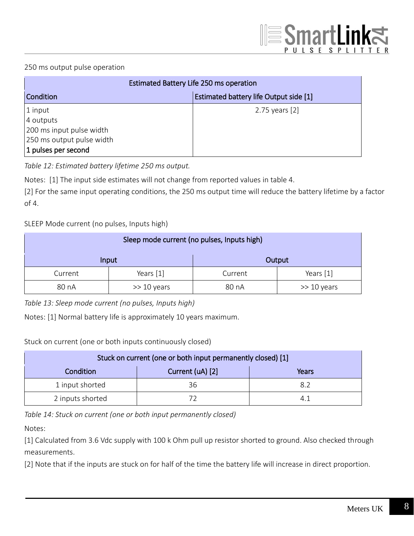#### 250 ms output pulse operation

| Estimated Battery Life 250 ms operation |                                        |
|-----------------------------------------|----------------------------------------|
| Condition                               | Estimated battery life Output side [1] |
| $ 1$ input                              | 2.75 years [2]                         |
| 4 outputs                               |                                        |
| 200 ms input pulse width                |                                        |
| 250 ms output pulse width               |                                        |
| 1 pulses per second                     |                                        |

*Table 12: Estimated battery lifetime 250 ms output.*

Notes: [1] The input side estimates will not change from reported values in table 4.

[2] For the same input operating conditions, the 250 ms output time will reduce the battery lifetime by a factor of 4.

SLEEP Mode current (no pulses, Inputs high)

| Sleep mode current (no pulses, Inputs high) |               |         |                |
|---------------------------------------------|---------------|---------|----------------|
|                                             | Input         | Output  |                |
| Current                                     | Years [1]     | Current | Years [1]      |
| 80 nA                                       | $>> 10$ years | 80 nA   | $\gg$ 10 years |

*Table 13: Sleep mode current (no pulses, Inputs high)*

Notes: [1] Normal battery life is approximately 10 years maximum.

Stuck on current (one or both inputs continuously closed)

| Stuck on current (one or both input permanently closed) [1] |                  |       |
|-------------------------------------------------------------|------------------|-------|
| Condition                                                   | Current (uA) [2] | Years |
| 1 input shorted                                             | 36               | 82    |
| 2 inputs shorted                                            |                  |       |

*Table 14: Stuck on current (one or both input permanently closed)*

Notes:

[1] Calculated from 3.6 Vdc supply with 100 k Ohm pull up resistor shorted to ground. Also checked through measurements.

[2] Note that if the inputs are stuck on for half of the time the battery life will increase in direct proportion.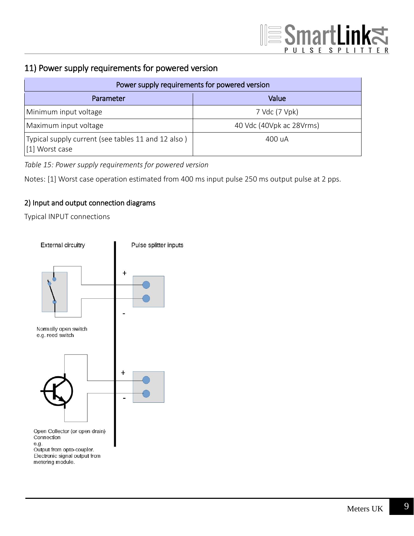## 11) Power supply requirements for powered version

| Power supply requirements for powered version                        |                          |  |
|----------------------------------------------------------------------|--------------------------|--|
| Parameter                                                            | Value                    |  |
| Minimum input voltage                                                | 7 Vdc (7 Vpk)            |  |
| Maximum input voltage                                                | 40 Vdc (40Vpk ac 28Vrms) |  |
| Typical supply current (see tables 11 and 12 also)<br>[1] Worst case | 400 uA                   |  |

*Table 15: Power supply requirements for powered version*

Notes: [1] Worst case operation estimated from 400 ms input pulse 250 ms output pulse at 2 pps.

#### 2) Input and output connection diagrams

Typical INPUT connections